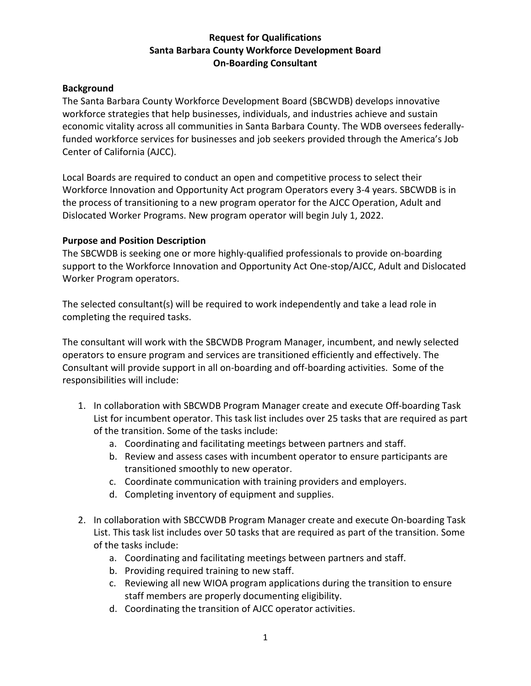## **Request for Qualifications Santa Barbara County Workforce Development Board On-Boarding Consultant**

#### **Background**

The Santa Barbara County Workforce Development Board (SBCWDB) develops innovative workforce strategies that help businesses, individuals, and industries achieve and sustain economic vitality across all communities in Santa Barbara County. The WDB oversees federallyfunded workforce services for businesses and job seekers provided through the America's Job Center of California (AJCC).

Local Boards are required to conduct an open and competitive process to select their Workforce Innovation and Opportunity Act program Operators every 3-4 years. SBCWDB is in the process of transitioning to a new program operator for the AJCC Operation, Adult and Dislocated Worker Programs. New program operator will begin July 1, 2022.

### **Purpose and Position Description**

The SBCWDB is seeking one or more highly-qualified professionals to provide on-boarding support to the Workforce Innovation and Opportunity Act One-stop/AJCC, Adult and Dislocated Worker Program operators.

The selected consultant(s) will be required to work independently and take a lead role in completing the required tasks.

The consultant will work with the SBCWDB Program Manager, incumbent, and newly selected operators to ensure program and services are transitioned efficiently and effectively. The Consultant will provide support in all on-boarding and off-boarding activities. Some of the responsibilities will include:

- 1. In collaboration with SBCWDB Program Manager create and execute Off-boarding Task List for incumbent operator. This task list includes over 25 tasks that are required as part of the transition. Some of the tasks include:
	- a. Coordinating and facilitating meetings between partners and staff.
	- b. Review and assess cases with incumbent operator to ensure participants are transitioned smoothly to new operator.
	- c. Coordinate communication with training providers and employers.
	- d. Completing inventory of equipment and supplies.
- 2. In collaboration with SBCCWDB Program Manager create and execute On-boarding Task List. This task list includes over 50 tasks that are required as part of the transition. Some of the tasks include:
	- a. Coordinating and facilitating meetings between partners and staff.
	- b. Providing required training to new staff.
	- c. Reviewing all new WIOA program applications during the transition to ensure staff members are properly documenting eligibility.
	- d. Coordinating the transition of AJCC operator activities.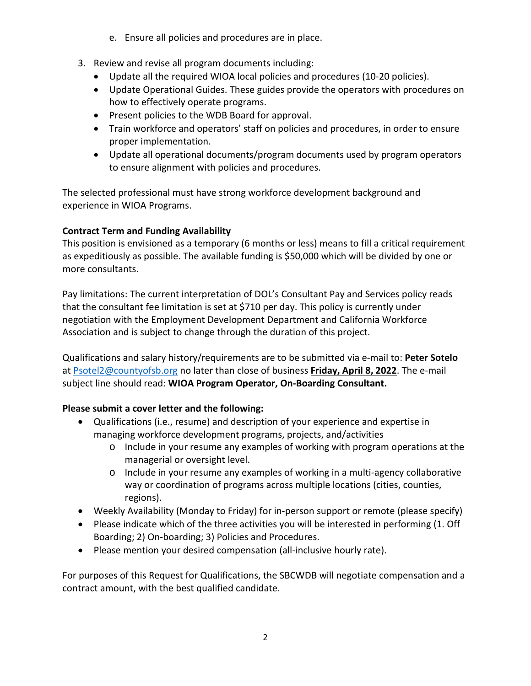- e. Ensure all policies and procedures are in place.
- 3. Review and revise all program documents including:
	- Update all the required WIOA local policies and procedures (10-20 policies).
	- Update Operational Guides. These guides provide the operators with procedures on how to effectively operate programs.
	- Present policies to the WDB Board for approval.
	- Train workforce and operators' staff on policies and procedures, in order to ensure proper implementation.
	- Update all operational documents/program documents used by program operators to ensure alignment with policies and procedures.

The selected professional must have strong workforce development background and experience in WIOA Programs.

# **Contract Term and Funding Availability**

This position is envisioned as a temporary (6 months or less) means to fill a critical requirement as expeditiously as possible. The available funding is \$50,000 which will be divided by one or more consultants.

Pay limitations: The current interpretation of DOL's Consultant Pay and Services policy reads that the consultant fee limitation is set at \$710 per day. This policy is currently under negotiation with the Employment Development Department and California Workforce Association and is subject to change through the duration of this project.

Qualifications and salary history/requirements are to be submitted via e-mail to: **Peter Sotelo** at [Psotel2@countyofsb.org](mailto:Psotel2@countyofsb.org) no later than close of business **Friday, April 8, 2022**. The e-mail subject line should read: **WIOA Program Operator, On-Boarding Consultant.** 

# **Please submit a cover letter and the following:**

- Qualifications (i.e., resume) and description of your experience and expertise in managing workforce development programs, projects, and/activities
	- o Include in your resume any examples of working with program operations at the managerial or oversight level.
	- o Include in your resume any examples of working in a multi-agency collaborative way or coordination of programs across multiple locations (cities, counties, regions).
- Weekly Availability (Monday to Friday) for in-person support or remote (please specify)
- Please indicate which of the three activities you will be interested in performing (1. Off Boarding; 2) On-boarding; 3) Policies and Procedures.
- Please mention your desired compensation (all-inclusive hourly rate).

For purposes of this Request for Qualifications, the SBCWDB will negotiate compensation and a contract amount, with the best qualified candidate.